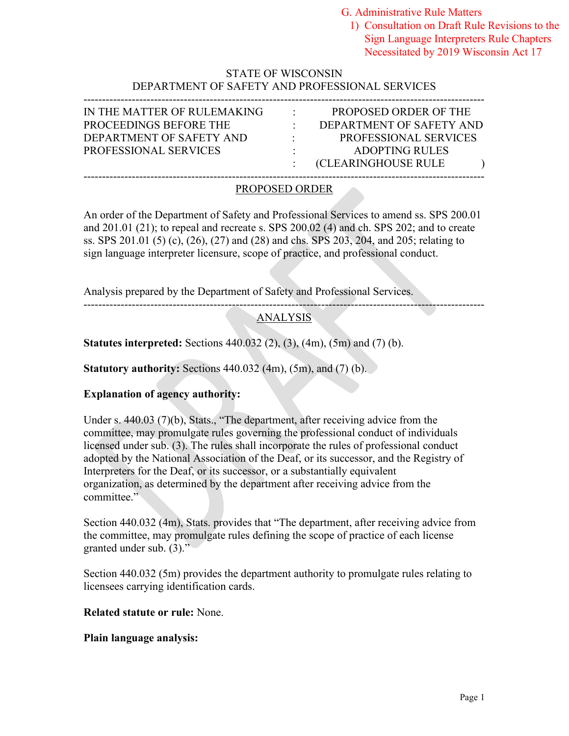G. Administrative Rule Matters

1) Consultation on Draft Rule Revisions to the Sign Language Interpreters Rule Chapters Necessitated by 2019 Wisconsin Act 17

# STATE OF WISCONSIN DEPARTMENT OF SAFETY AND PROFESSIONAL SERVICES

| IN THE MATTER OF RULEMAKING  | $\sim$ 100 $\mu$         | PROPOSED ORDER OF THE        |
|------------------------------|--------------------------|------------------------------|
| PROCEEDINGS BEFORE THE       |                          | DEPARTMENT OF SAFETY AND     |
| DEPARTMENT OF SAFETY AND     | <b>Contract Contract</b> | <b>PROFESSIONAL SERVICES</b> |
| <b>PROFESSIONAL SERVICES</b> |                          | ADOPTING RULES               |
|                              |                          | (CLEARINGHOUSE RULE          |
|                              |                          |                              |

# PROPOSED ORDER

An order of the Department of Safety and Professional Services to amend ss. SPS 200.01 and 201.01 (21); to repeal and recreate s. SPS 200.02 (4) and ch. SPS 202; and to create ss. SPS 201.01 (5) (c), (26), (27) and (28) and chs. SPS 203, 204, and 205; relating to sign language interpreter licensure, scope of practice, and professional conduct.

Analysis prepared by the Department of Safety and Professional Services.

#### ------------------------------------------------------------------------------------------------------------ ANALYSIS

**Statutes interpreted:** Sections 440.032 (2), (3), (4m), (5m) and (7) (b).

**Statutory authority:** Sections 440.032 (4m), (5m), and (7) (b).

# **Explanation of agency authority:**

Under s. 440.03 (7)(b), Stats., "The department, after receiving advice from the committee, may promulgate rules governing the professional conduct of individuals licensed under sub. (3). The rules shall incorporate the rules of professional conduct adopted by the National Association of the Deaf, or its successor, and the Registry of Interpreters for the Deaf, or its successor, or a substantially equivalent organization, as determined by the department after receiving advice from the committee."

Section 440.032 (4m), Stats. provides that "The department, after receiving advice from the committee, may promulgate rules defining the scope of practice of each license granted under sub. (3)."

Section 440.032 (5m) provides the department authority to promulgate rules relating to licensees carrying identification cards.

**Related statute or rule:** None.

# **Plain language analysis:**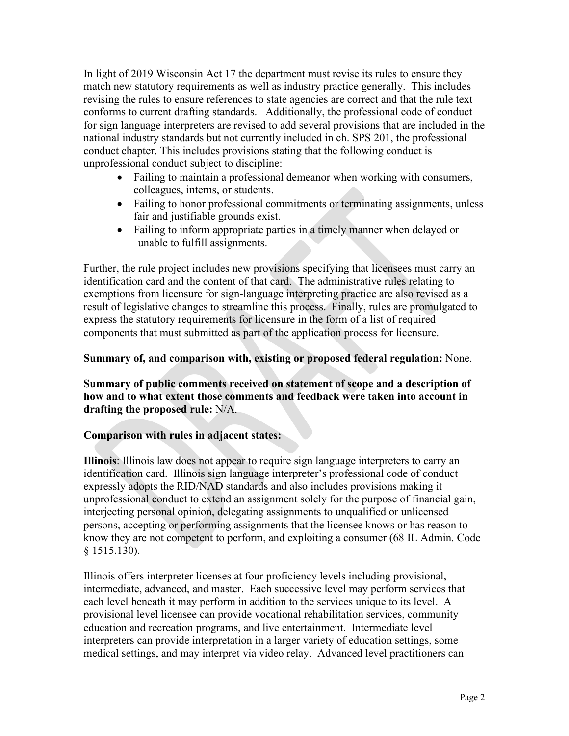In light of 2019 Wisconsin Act 17 the department must revise its rules to ensure they match new statutory requirements as well as industry practice generally. This includes revising the rules to ensure references to state agencies are correct and that the rule text conforms to current drafting standards. Additionally, the professional code of conduct for sign language interpreters are revised to add several provisions that are included in the national industry standards but not currently included in ch. SPS 201, the professional conduct chapter. This includes provisions stating that the following conduct is unprofessional conduct subject to discipline:

- Failing to maintain a professional demeanor when working with consumers, colleagues, interns, or students.
- Failing to honor professional commitments or terminating assignments, unless fair and justifiable grounds exist.
- Failing to inform appropriate parties in a timely manner when delayed or unable to fulfill assignments.

Further, the rule project includes new provisions specifying that licensees must carry an identification card and the content of that card. The administrative rules relating to exemptions from licensure for sign-language interpreting practice are also revised as a result of legislative changes to streamline this process. Finally, rules are promulgated to express the statutory requirements for licensure in the form of a list of required components that must submitted as part of the application process for licensure.

# **Summary of, and comparison with, existing or proposed federal regulation:** None.

# **Summary of public comments received on statement of scope and a description of how and to what extent those comments and feedback were taken into account in drafting the proposed rule:** N/A.

# **Comparison with rules in adjacent states:**

**Illinois**: Illinois law does not appear to require sign language interpreters to carry an identification card. Illinois sign language interpreter's professional code of conduct expressly adopts the RID/NAD standards and also includes provisions making it unprofessional conduct to extend an assignment solely for the purpose of financial gain, interjecting personal opinion, delegating assignments to unqualified or unlicensed persons, accepting or performing assignments that the licensee knows or has reason to know they are not competent to perform, and exploiting a consumer (68 IL Admin. Code § 1515.130).

Illinois offers interpreter licenses at four proficiency levels including provisional, intermediate, advanced, and master. Each successive level may perform services that each level beneath it may perform in addition to the services unique to its level. A provisional level licensee can provide vocational rehabilitation services, community education and recreation programs, and live entertainment. Intermediate level interpreters can provide interpretation in a larger variety of education settings, some medical settings, and may interpret via video relay. Advanced level practitioners can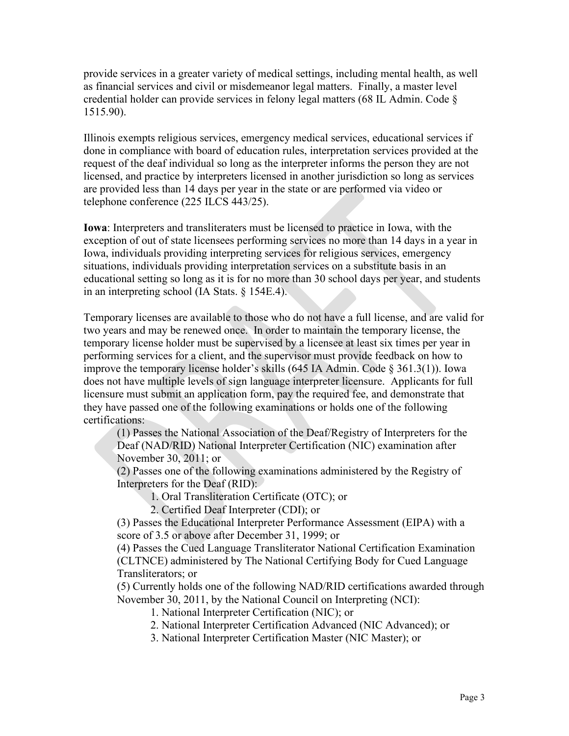provide services in a greater variety of medical settings, including mental health, as well as financial services and civil or misdemeanor legal matters. Finally, a master level credential holder can provide services in felony legal matters (68 IL Admin. Code § 1515.90).

Illinois exempts religious services, emergency medical services, educational services if done in compliance with board of education rules, interpretation services provided at the request of the deaf individual so long as the interpreter informs the person they are not licensed, and practice by interpreters licensed in another jurisdiction so long as services are provided less than 14 days per year in the state or are performed via video or telephone conference (225 ILCS 443/25).

**Iowa**: Interpreters and transliteraters must be licensed to practice in Iowa, with the exception of out of state licensees performing services no more than 14 days in a year in Iowa, individuals providing interpreting services for religious services, emergency situations, individuals providing interpretation services on a substitute basis in an educational setting so long as it is for no more than 30 school days per year, and students in an interpreting school (IA Stats. § 154E.4).

Temporary licenses are available to those who do not have a full license, and are valid for two years and may be renewed once. In order to maintain the temporary license, the temporary license holder must be supervised by a licensee at least six times per year in performing services for a client, and the supervisor must provide feedback on how to improve the temporary license holder's skills (645 IA Admin. Code § 361.3(1)). Iowa does not have multiple levels of sign language interpreter licensure. Applicants for full licensure must submit an application form, pay the required fee, and demonstrate that they have passed one of the following examinations or holds one of the following certifications:

(1) Passes the National Association of the Deaf/Registry of Interpreters for the Deaf (NAD/RID) National Interpreter Certification (NIC) examination after November 30, 2011; or

(2) Passes one of the following examinations administered by the Registry of Interpreters for the Deaf (RID):

1. Oral Transliteration Certificate (OTC); or

2. Certified Deaf Interpreter (CDI); or

(3) Passes the Educational Interpreter Performance Assessment (EIPA) with a score of 3.5 or above after December 31, 1999; or

(4) Passes the Cued Language Transliterator National Certification Examination (CLTNCE) administered by The National Certifying Body for Cued Language Transliterators; or

(5) Currently holds one of the following NAD/RID certifications awarded through November 30, 2011, by the National Council on Interpreting (NCI):

1. National Interpreter Certification (NIC); or

2. National Interpreter Certification Advanced (NIC Advanced); or

3. National Interpreter Certification Master (NIC Master); or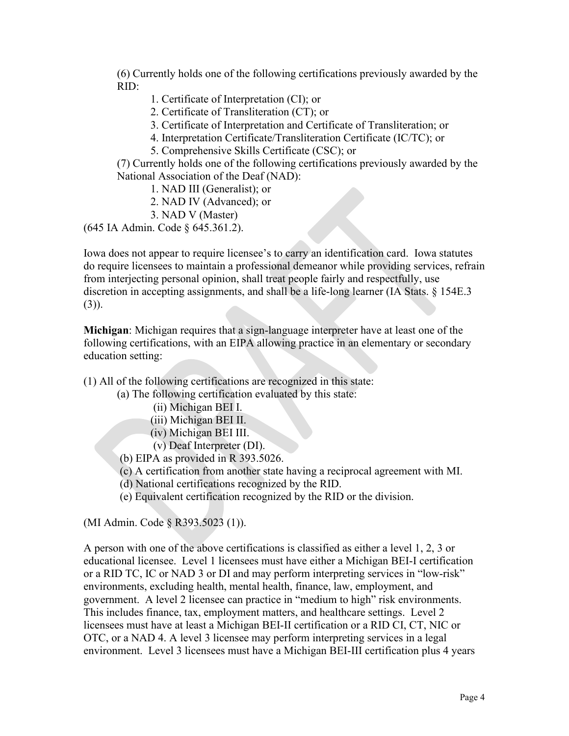(6) Currently holds one of the following certifications previously awarded by the RID:

- 1. Certificate of Interpretation (CI); or
- 2. Certificate of Transliteration (CT); or
- 3. Certificate of Interpretation and Certificate of Transliteration; or
- 4. Interpretation Certificate/Transliteration Certificate (IC/TC); or
- 5. Comprehensive Skills Certificate (CSC); or

(7) Currently holds one of the following certifications previously awarded by the National Association of the Deaf (NAD):

- 1. NAD III (Generalist); or
- 2. NAD IV (Advanced); or
- 3. NAD V (Master)

(645 IA Admin. Code § 645.361.2).

Iowa does not appear to require licensee's to carry an identification card. Iowa statutes do require licensees to maintain a professional demeanor while providing services, refrain from interjecting personal opinion, shall treat people fairly and respectfully, use discretion in accepting assignments, and shall be a life-long learner (IA Stats. § 154E.3 (3)).

**Michigan**: Michigan requires that a sign-language interpreter have at least one of the following certifications, with an EIPA allowing practice in an elementary or secondary education setting:

(1) All of the following certifications are recognized in this state:

(a) The following certification evaluated by this state:

- (ii) Michigan BEI I.
- (iii) Michigan BEI II.
- (iv) Michigan BEI III.

(v) Deaf Interpreter (DI).

(b) EIPA as provided in R 393.5026.

- (c) A certification from another state having a reciprocal agreement with MI.
- (d) National certifications recognized by the RID.
- (e) Equivalent certification recognized by the RID or the division.

(MI Admin. Code § R393.5023 (1)).

A person with one of the above certifications is classified as either a level 1, 2, 3 or educational licensee. Level 1 licensees must have either a Michigan BEI-I certification or a RID TC, IC or NAD 3 or DI and may perform interpreting services in "low-risk" environments, excluding health, mental health, finance, law, employment, and government. A level 2 licensee can practice in "medium to high" risk environments. This includes finance, tax, employment matters, and healthcare settings. Level 2 licensees must have at least a Michigan BEI-II certification or a RID CI, CT, NIC or OTC, or a NAD 4. A level 3 licensee may perform interpreting services in a legal environment. Level 3 licensees must have a Michigan BEI-III certification plus 4 years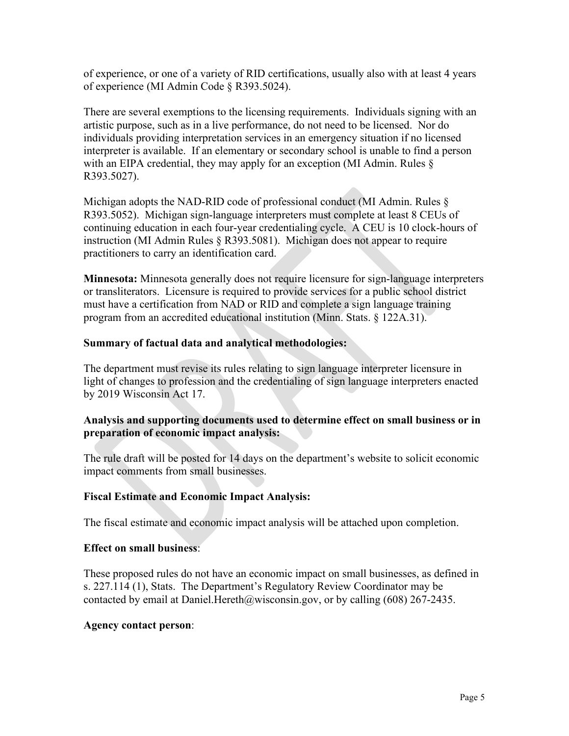of experience, or one of a variety of RID certifications, usually also with at least 4 years of experience (MI Admin Code § R393.5024).

There are several exemptions to the licensing requirements. Individuals signing with an artistic purpose, such as in a live performance, do not need to be licensed. Nor do individuals providing interpretation services in an emergency situation if no licensed interpreter is available. If an elementary or secondary school is unable to find a person with an EIPA credential, they may apply for an exception (MI Admin. Rules § R393.5027).

Michigan adopts the NAD-RID code of professional conduct (MI Admin. Rules § R393.5052). Michigan sign-language interpreters must complete at least 8 CEUs of continuing education in each four-year credentialing cycle. A CEU is 10 clock-hours of instruction (MI Admin Rules § R393.5081). Michigan does not appear to require practitioners to carry an identification card.

**Minnesota:** Minnesota generally does not require licensure for sign-language interpreters or transliterators. Licensure is required to provide services for a public school district must have a certification from NAD or RID and complete a sign language training program from an accredited educational institution (Minn. Stats. § 122A.31).

# **Summary of factual data and analytical methodologies:**

The department must revise its rules relating to sign language interpreter licensure in light of changes to profession and the credentialing of sign language interpreters enacted by 2019 Wisconsin Act 17.

# **Analysis and supporting documents used to determine effect on small business or in preparation of economic impact analysis:**

The rule draft will be posted for 14 days on the department's website to solicit economic impact comments from small businesses.

#### **Fiscal Estimate and Economic Impact Analysis:**

The fiscal estimate and economic impact analysis will be attached upon completion.

#### **Effect on small business**:

These proposed rules do not have an economic impact on small businesses, as defined in s. 227.114 (1), Stats. The Department's Regulatory Review Coordinator may be contacted by email at Daniel. Hereth  $@w$  is consin.gov, or by calling (608) 267-2435.

#### **Agency contact person**: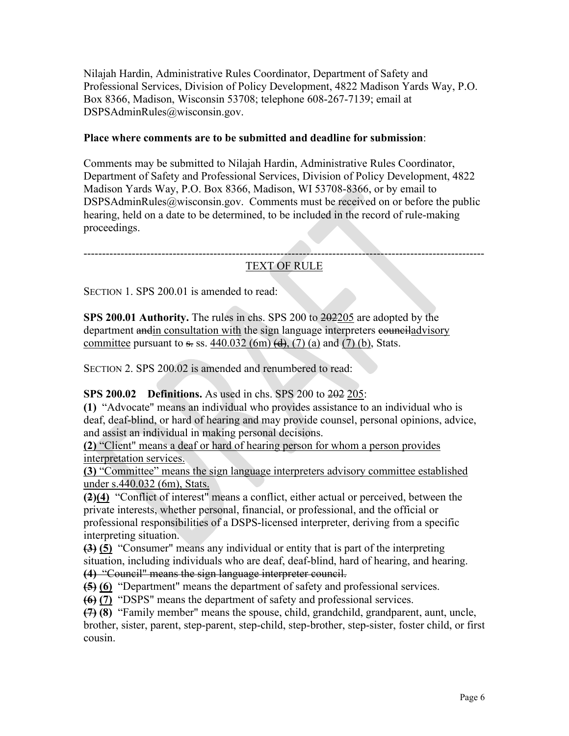Nilajah Hardin, Administrative Rules Coordinator, Department of Safety and Professional Services, Division of Policy Development, 4822 Madison Yards Way, P.O. Box 8366, Madison, Wisconsin 53708; telephone 608-267-7139; email at DSPSAdminRules@wisconsin.gov.

### **Place where comments are to be submitted and deadline for submission**:

Comments may be submitted to Nilajah Hardin, Administrative Rules Coordinator, Department of Safety and Professional Services, Division of Policy Development, 4822 Madison Yards Way, P.O. Box 8366, Madison, WI 53708-8366, or by email to DSPSAdminRules@wisconsin.gov. Comments must be received on or before the public hearing, held on a date to be determined, to be included in the record of rule-making proceedings.

------------------------------------------------------------------------------------------------------------ TEXT OF RULE

SECTION 1. SPS 200.01 is amended to read:

**SPS 200.01 Authority.** The rules in chs. SPS 200 to 202205 are adopted by the department and in consultation with the sign language interpreters council advisory committee pursuant to  $\frac{1}{2}$ , ss. 440.032 (6m)  $\left(\frac{d}{d}\right)$ , (7) (a) and (7) (b), Stats.

SECTION 2. SPS 200.02 is amended and renumbered to read:

**SPS 200.02 Definitions.** As used in chs. SPS 200 to 202 205:

**(1)** "Advocate" means an individual who provides assistance to an individual who is deaf, deaf-blind, or hard of hearing and may provide counsel, personal opinions, advice, and assist an individual in making personal decisions.

**(2)** "Client" means a deaf or hard of hearing person for whom a person provides interpretation services.

**(3)** "Committee" means the sign language interpreters advisory committee established under s.440.032 (6m), Stats.

**(2)(4)** "Conflict of interest" means a conflict, either actual or perceived, between the private interests, whether personal, financial, or professional, and the official or professional responsibilities of a DSPS-licensed interpreter, deriving from a specific interpreting situation.

**(3) (5)** "Consumer" means any individual or entity that is part of the interpreting situation, including individuals who are deaf, deaf-blind, hard of hearing, and hearing. **(4)** "Council" means the sign language interpreter council.

**(5) (6)** "Department" means the department of safety and professional services.

**(6) (7)** "DSPS" means the department of safety and professional services.

**(7) (8)** "Family member" means the spouse, child, grandchild, grandparent, aunt, uncle, brother, sister, parent, step-parent, step-child, step-brother, step-sister, foster child, or first cousin.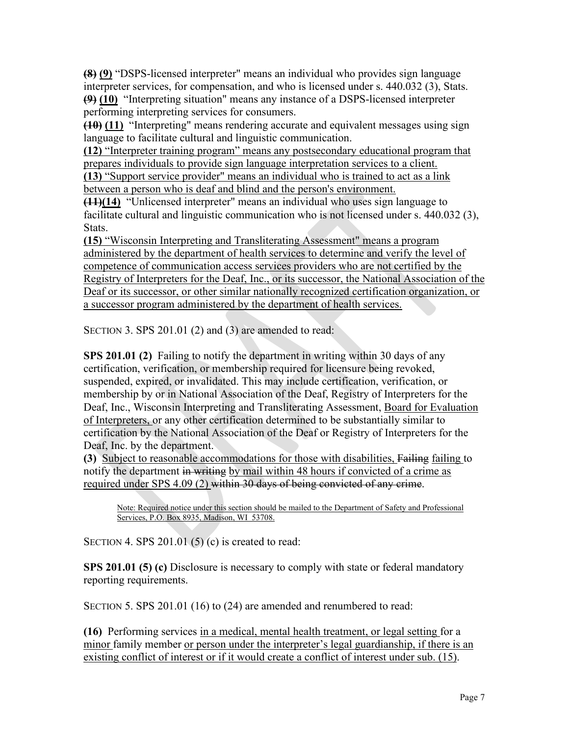**(8) (9)** "DSPS-licensed interpreter" means an individual who provides sign language interpreter services, for compensation, and who is licensed under s. 440.032 (3), Stats. **(9) (10)** "Interpreting situation" means any instance of a DSPS-licensed interpreter performing interpreting services for consumers.

**(10) (11)** "Interpreting" means rendering accurate and equivalent messages using sign language to facilitate cultural and linguistic communication.

**(12)** "Interpreter training program" means any postsecondary educational program that prepares individuals to provide sign language interpretation services to a client. **(13)** "Support service provider" means an individual who is trained to act as a link between a person who is deaf and blind and the person's environment.

**(11)(14)** "Unlicensed interpreter" means an individual who uses sign language to facilitate cultural and linguistic communication who is not licensed under s. 440.032 (3), Stats.

**(15)** "Wisconsin Interpreting and Transliterating Assessment" means a program administered by the department of health services to determine and verify the level of competence of communication access services providers who are not certified by the Registry of Interpreters for the Deaf, Inc., or its successor, the National Association of the Deaf or its successor, or other similar nationally recognized certification organization, or a successor program administered by the department of health services.

SECTION 3. SPS 201.01 (2) and (3) are amended to read:

**SPS 201.01 (2)** Failing to notify the department in writing within 30 days of any certification, verification, or membership required for licensure being revoked, suspended, expired, or invalidated. This may include certification, verification, or membership by or in National Association of the Deaf, Registry of Interpreters for the Deaf, Inc., Wisconsin Interpreting and Transliterating Assessment, Board for Evaluation of Interpreters, or any other certification determined to be substantially similar to certification by the National Association of the Deaf or Registry of Interpreters for the Deaf, Inc. by the department.

**(3)** Subject to reasonable accommodations for those with disabilities, Failing failing to notify the department in writing by mail within 48 hours if convicted of a crime as required under SPS 4.09 (2) within 30 days of being convicted of any crime.

Note: Required notice under this section should be mailed to the Department of Safety and Professional Services, P.O. Box 8935, Madison, WI 53708.

SECTION 4. SPS  $201.01(5)(c)$  is created to read:

**SPS 201.01 (5) (c)** Disclosure is necessary to comply with state or federal mandatory reporting requirements.

SECTION 5. SPS 201.01 (16) to (24) are amended and renumbered to read:

**(16)** Performing services in a medical, mental health treatment, or legal setting for a minor family member or person under the interpreter's legal guardianship, if there is an existing conflict of interest or if it would create a conflict of interest under sub. (15).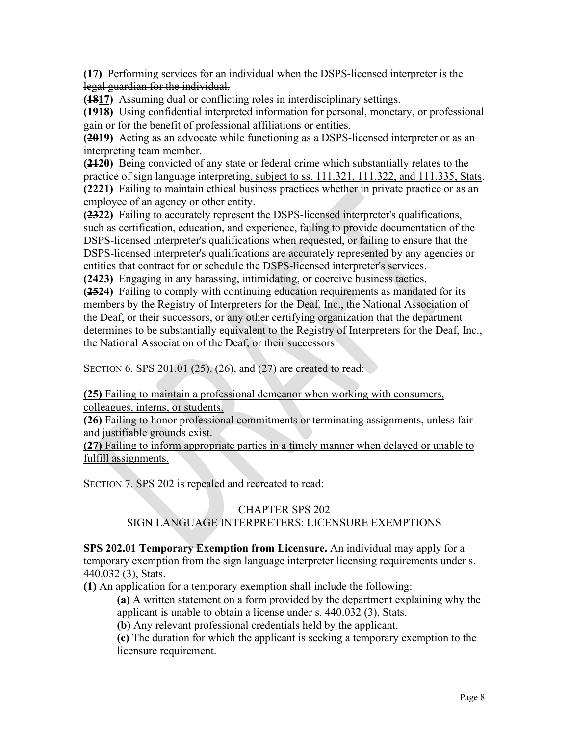**(17)** Performing services for an individual when the DSPS-licensed interpreter is the legal guardian for the individual.

**(1817)** Assuming dual or conflicting roles in interdisciplinary settings.

**(1918)** Using confidential interpreted information for personal, monetary, or professional gain or for the benefit of professional affiliations or entities.

**(2019)** Acting as an advocate while functioning as a DSPS-licensed interpreter or as an interpreting team member.

**(2120)** Being convicted of any state or federal crime which substantially relates to the practice of sign language interpreting, subject to ss. 111.321, 111.322, and 111.335, Stats. **(2221)** Failing to maintain ethical business practices whether in private practice or as an employee of an agency or other entity.

**(2322)** Failing to accurately represent the DSPS-licensed interpreter's qualifications, such as certification, education, and experience, failing to provide documentation of the DSPS-licensed interpreter's qualifications when requested, or failing to ensure that the DSPS-licensed interpreter's qualifications are accurately represented by any agencies or entities that contract for or schedule the DSPS-licensed interpreter's services.

**(2423)** Engaging in any harassing, intimidating, or coercive business tactics.

**(2524)** Failing to comply with continuing education requirements as mandated for its members by the Registry of Interpreters for the Deaf, Inc., the National Association of the Deaf, or their successors, or any other certifying organization that the department determines to be substantially equivalent to the Registry of Interpreters for the Deaf, Inc., the National Association of the Deaf, or their successors.

SECTION 6. SPS 201.01 (25), (26), and (27) are created to read:

**(25)** Failing to maintain a professional demeanor when working with consumers, colleagues, interns, or students.

**(26)** Failing to honor professional commitments or terminating assignments, unless fair and justifiable grounds exist.

**(27)** Failing to inform appropriate parties in a timely manner when delayed or unable to fulfill assignments.

SECTION 7. SPS 202 is repealed and recreated to read:

# CHAPTER SPS 202

#### SIGN LANGUAGE INTERPRETERS; LICENSURE EXEMPTIONS

**SPS 202.01 Temporary Exemption from Licensure.** An individual may apply for a temporary exemption from the sign language interpreter licensing requirements under s. 440.032 (3), Stats.

**(1)** An application for a temporary exemption shall include the following:

**(a)** A written statement on a form provided by the department explaining why the applicant is unable to obtain a license under s. 440.032 (3), Stats.

**(b)** Any relevant professional credentials held by the applicant.

**(c)** The duration for which the applicant is seeking a temporary exemption to the licensure requirement.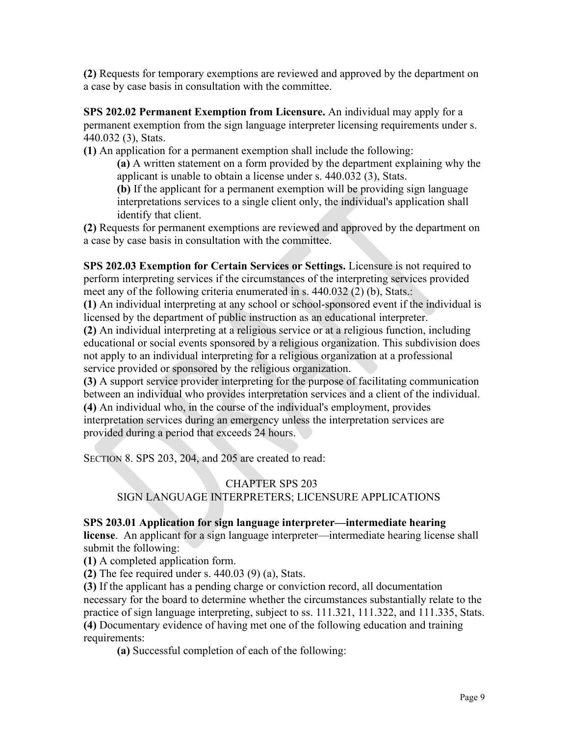**(2)** Requests for temporary exemptions are reviewed and approved by the department on a case by case basis in consultation with the committee.

**SPS 202.02 Permanent Exemption from Licensure.** An individual may apply for a permanent exemption from the sign language interpreter licensing requirements under s. 440.032 (3), Stats.

**(1)** An application for a permanent exemption shall include the following:

**(a)** A written statement on a form provided by the department explaining why the applicant is unable to obtain a license under s. 440.032 (3), Stats.

**(b)** If the applicant for a permanent exemption will be providing sign language interpretations services to a single client only, the individual's application shall identify that client.

**(2)** Requests for permanent exemptions are reviewed and approved by the department on a case by case basis in consultation with the committee.

**SPS 202.03 Exemption for Certain Services or Settings.** Licensure is not required to perform interpreting services if the circumstances of the interpreting services provided meet any of the following criteria enumerated in s. 440.032 (2) (b), Stats.:

**(1)** An individual interpreting at any school or school-sponsored event if the individual is licensed by the department of public instruction as an educational interpreter.

**(2)** An individual interpreting at a religious service or at a religious function, including educational or social events sponsored by a religious organization. This subdivision does not apply to an individual interpreting for a religious organization at a professional service provided or sponsored by the religious organization.

**(3)** A support service provider interpreting for the purpose of facilitating communication between an individual who provides interpretation services and a client of the individual. **(4)** An individual who, in the course of the individual's employment, provides interpretation services during an emergency unless the interpretation services are provided during a period that exceeds 24 hours.

SECTION 8. SPS 203, 204, and 205 are created to read:

# CHAPTER SPS 203 SIGN LANGUAGE INTERPRETERS; LICENSURE APPLICATIONS

# **SPS 203.01 Application for sign language interpreter—intermediate hearing**

**license**. An applicant for a sign language interpreter—intermediate hearing license shall submit the following:

**(1)** A completed application form.

**(2)** The fee required under s. 440.03 (9) (a), Stats.

**(3)** If the applicant has a pending charge or conviction record, all documentation necessary for the board to determine whether the circumstances substantially relate to the practice of sign language interpreting, subject to ss. 111.321, 111.322, and 111.335, Stats. **(4)** Documentary evidence of having met one of the following education and training requirements:

**(a)** Successful completion of each of the following: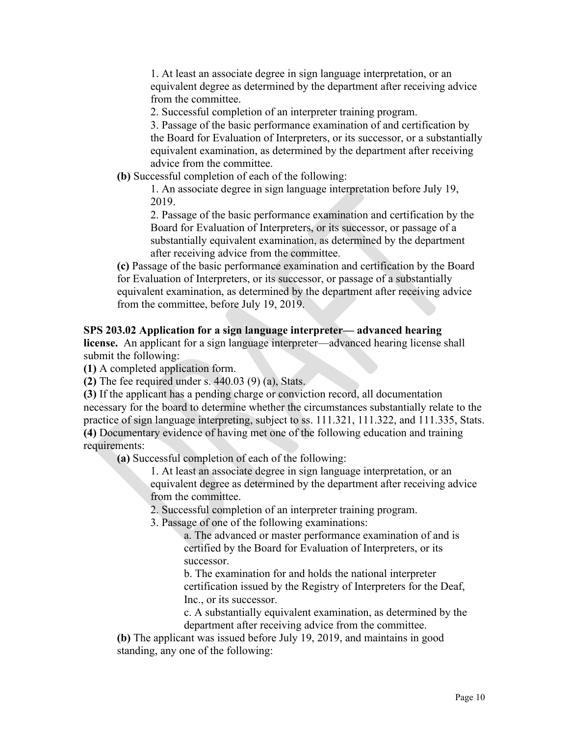1. At least an associate degree in sign language interpretation, or an equivalent degree as determined by the department after receiving advice from the committee.

2. Successful completion of an interpreter training program.

3. Passage of the basic performance examination of and certification by the Board for Evaluation of Interpreters, or its successor, or a substantially equivalent examination, as determined by the department after receiving advice from the committee.

**(b)** Successful completion of each of the following:

1. An associate degree in sign language interpretation before July 19, 2019.

2. Passage of the basic performance examination and certification by the Board for Evaluation of Interpreters, or its successor, or passage of a substantially equivalent examination, as determined by the department after receiving advice from the committee.

**(c)** Passage of the basic performance examination and certification by the Board for Evaluation of Interpreters, or its successor, or passage of a substantially equivalent examination, as determined by the department after receiving advice from the committee, before July 19, 2019.

#### **SPS 203.02 Application for a sign language interpreter— advanced hearing**

**license.** An applicant for a sign language interpreter—advanced hearing license shall submit the following:

**(1)** A completed application form.

**(2)** The fee required under s. 440.03 (9) (a), Stats.

**(3)** If the applicant has a pending charge or conviction record, all documentation necessary for the board to determine whether the circumstances substantially relate to the practice of sign language interpreting, subject to ss. 111.321, 111.322, and 111.335, Stats. **(4)** Documentary evidence of having met one of the following education and training requirements:

**(a)** Successful completion of each of the following:

1. At least an associate degree in sign language interpretation, or an equivalent degree as determined by the department after receiving advice from the committee.

2. Successful completion of an interpreter training program.

3. Passage of one of the following examinations:

a. The advanced or master performance examination of and is certified by the Board for Evaluation of Interpreters, or its successor.

b. The examination for and holds the national interpreter certification issued by the Registry of Interpreters for the Deaf, Inc., or its successor.

c. A substantially equivalent examination, as determined by the department after receiving advice from the committee.

**(b)** The applicant was issued before July 19, 2019, and maintains in good standing, any one of the following: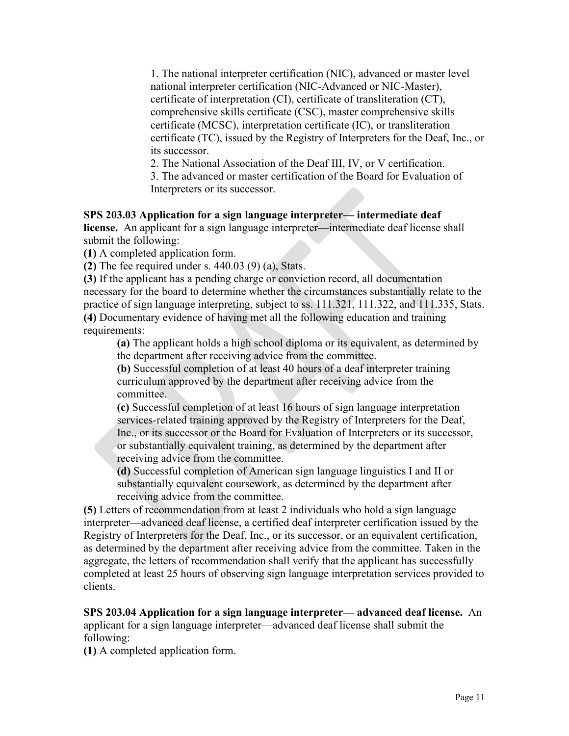1. The national interpreter certification (NIC), advanced or master level national interpreter certification (NIC-Advanced or NIC-Master), certificate of interpretation (CI), certificate of transliteration (CT), comprehensive skills certificate (CSC), master comprehensive skills certificate (MCSC), interpretation certificate (IC), or transliteration certificate (TC), issued by the Registry of Interpreters for the Deaf, Inc., or its successor.

2. The National Association of the Deaf III, IV, or V certification.

3. The advanced or master certification of the Board for Evaluation of Interpreters or its successor.

# **SPS 203.03 Application for a sign language interpreter— intermediate deaf**

**license.** An applicant for a sign language interpreter—intermediate deaf license shall submit the following:

**(1)** A completed application form.

**(2)** The fee required under s. 440.03 (9) (a), Stats.

**(3)** If the applicant has a pending charge or conviction record, all documentation necessary for the board to determine whether the circumstances substantially relate to the practice of sign language interpreting, subject to ss. 111.321, 111.322, and 111.335, Stats. **(4)** Documentary evidence of having met all the following education and training requirements:

**(a)** The applicant holds a high school diploma or its equivalent, as determined by the department after receiving advice from the committee.

**(b)** Successful completion of at least 40 hours of a deaf interpreter training curriculum approved by the department after receiving advice from the committee.

**(c)** Successful completion of at least 16 hours of sign language interpretation services-related training approved by the Registry of Interpreters for the Deaf, Inc., or its successor or the Board for Evaluation of Interpreters or its successor, or substantially equivalent training, as determined by the department after receiving advice from the committee.

**(d)** Successful completion of American sign language linguistics I and II or substantially equivalent coursework, as determined by the department after receiving advice from the committee.

**(5)** Letters of recommendation from at least 2 individuals who hold a sign language interpreter—advanced deaf license, a certified deaf interpreter certification issued by the Registry of Interpreters for the Deaf, Inc., or its successor, or an equivalent certification, as determined by the department after receiving advice from the committee. Taken in the aggregate, the letters of recommendation shall verify that the applicant has successfully completed at least 25 hours of observing sign language interpretation services provided to clients.

#### **SPS 203.04 Application for a sign language interpreter— advanced deaf license.**An applicant for a sign language interpreter—advanced deaf license shall submit the

following:

**(1)** A completed application form.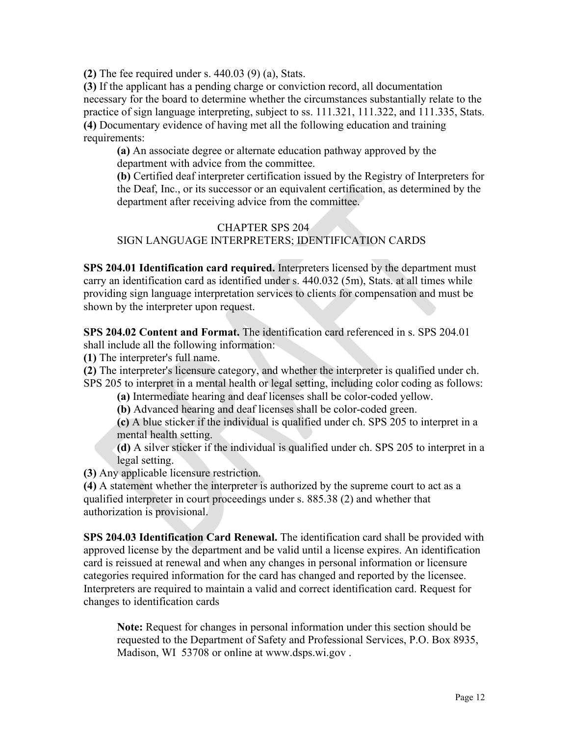**(2)** The fee required under s. 440.03 (9) (a), Stats.

**(3)** If the applicant has a pending charge or conviction record, all documentation necessary for the board to determine whether the circumstances substantially relate to the practice of sign language interpreting, subject to ss. 111.321, 111.322, and 111.335, Stats. **(4)** Documentary evidence of having met all the following education and training requirements:

**(a)** An associate degree or alternate education pathway approved by the department with advice from the committee.

**(b)** Certified deaf interpreter certification issued by the Registry of Interpreters for the Deaf, Inc., or its successor or an equivalent certification, as determined by the department after receiving advice from the committee.

# CHAPTER SPS 204 SIGN LANGUAGE INTERPRETERS; IDENTIFICATION CARDS

**SPS 204.01 Identification card required.** Interpreters licensed by the department must carry an identification card as identified under s. 440.032 (5m), Stats. at all times while providing sign language interpretation services to clients for compensation and must be shown by the interpreter upon request.

**SPS 204.02 Content and Format.** The identification card referenced in s. SPS 204.01 shall include all the following information:

**(1)** The interpreter's full name.

**(2)** The interpreter's licensure category, and whether the interpreter is qualified under ch. SPS 205 to interpret in a mental health or legal setting, including color coding as follows:

**(a)** Intermediate hearing and deaf licenses shall be color-coded yellow.

**(b)** Advanced hearing and deaf licenses shall be color-coded green.

**(c)** A blue sticker if the individual is qualified under ch. SPS 205 to interpret in a mental health setting.

**(d)** A silver sticker if the individual is qualified under ch. SPS 205 to interpret in a legal setting.

**(3)** Any applicable licensure restriction.

**(4)** A statement whether the interpreter is authorized by the supreme court to act as a qualified interpreter in court proceedings under s. 885.38 (2) and whether that authorization is provisional.

**SPS 204.03 Identification Card Renewal.** The identification card shall be provided with approved license by the department and be valid until a license expires. An identification card is reissued at renewal and when any changes in personal information or licensure categories required information for the card has changed and reported by the licensee. Interpreters are required to maintain a valid and correct identification card. Request for changes to identification cards

**Note:** Request for changes in personal information under this section should be requested to the Department of Safety and Professional Services, P.O. Box 8935, Madison, WI 53708 or online at www.dsps.wi.gov .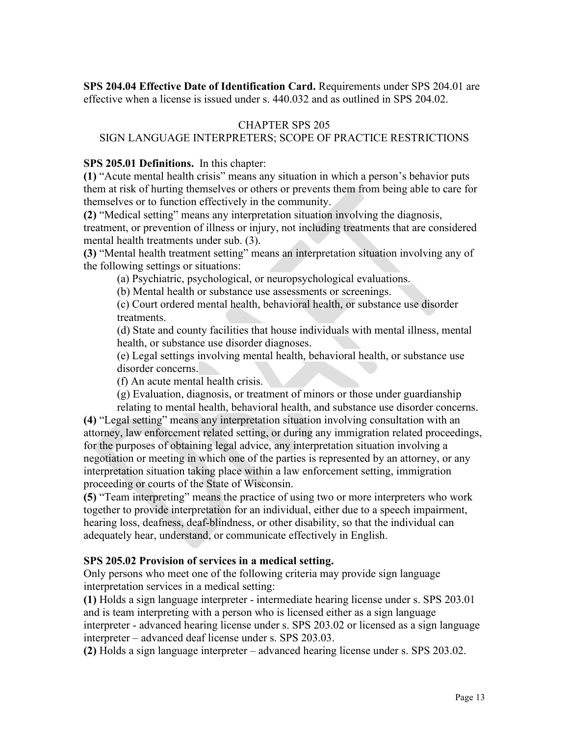**SPS 204.04 Effective Date of Identification Card.** Requirements under SPS 204.01 are effective when a license is issued under s. 440.032 and as outlined in SPS 204.02.

### CHAPTER SPS 205

# SIGN LANGUAGE INTERPRETERS; SCOPE OF PRACTICE RESTRICTIONS

#### **SPS 205.01 Definitions.** In this chapter:

**(1)** "Acute mental health crisis" means any situation in which a person's behavior puts them at risk of hurting themselves or others or prevents them from being able to care for themselves or to function effectively in the community.

**(2)** "Medical setting" means any interpretation situation involving the diagnosis, treatment, or prevention of illness or injury, not including treatments that are considered mental health treatments under sub. (3).

**(3)** "Mental health treatment setting" means an interpretation situation involving any of the following settings or situations:

(a) Psychiatric, psychological, or neuropsychological evaluations.

(b) Mental health or substance use assessments or screenings.

(c) Court ordered mental health, behavioral health, or substance use disorder treatments.

(d) State and county facilities that house individuals with mental illness, mental health, or substance use disorder diagnoses.

(e) Legal settings involving mental health, behavioral health, or substance use disorder concerns.

(f) An acute mental health crisis.

(g) Evaluation, diagnosis, or treatment of minors or those under guardianship relating to mental health, behavioral health, and substance use disorder concerns.

**(4)** "Legal setting" means any interpretation situation involving consultation with an attorney, law enforcement related setting, or during any immigration related proceedings, for the purposes of obtaining legal advice, any interpretation situation involving a negotiation or meeting in which one of the parties is represented by an attorney, or any interpretation situation taking place within a law enforcement setting, immigration proceeding or courts of the State of Wisconsin.

**(5)** "Team interpreting" means the practice of using two or more interpreters who work together to provide interpretation for an individual, either due to a speech impairment, hearing loss, deafness, deaf-blindness, or other disability, so that the individual can adequately hear, understand, or communicate effectively in English.

#### **SPS 205.02 Provision of services in a medical setting.**

Only persons who meet one of the following criteria may provide sign language interpretation services in a medical setting:

**(1)** Holds a sign language interpreter - intermediate hearing license under s. SPS 203.01 and is team interpreting with a person who is licensed either as a sign language interpreter - advanced hearing license under s. SPS 203.02 or licensed as a sign language interpreter – advanced deaf license under s. SPS 203.03.

**(2)** Holds a sign language interpreter – advanced hearing license under s. SPS 203.02.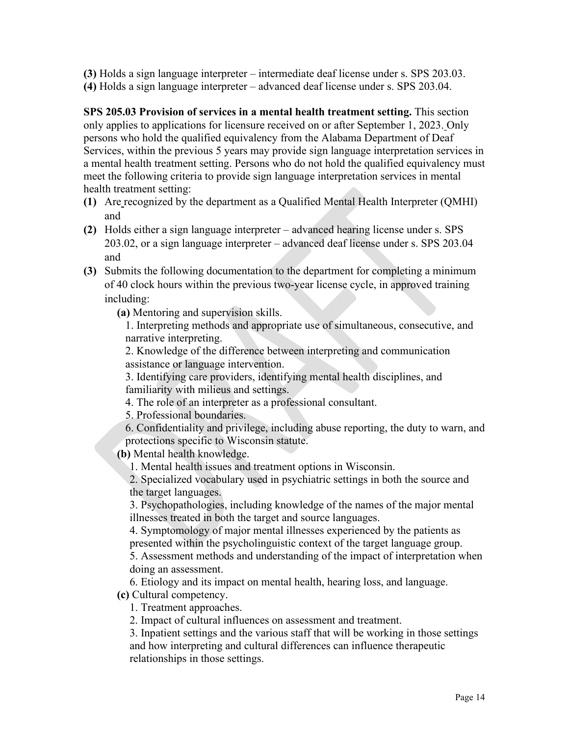**(3)** Holds a sign language interpreter – intermediate deaf license under s. SPS 203.03. **(4)** Holds a sign language interpreter – advanced deaf license under s. SPS 203.04.

**SPS 205.03 Provision of services in a mental health treatment setting.** This section only applies to applications for licensure received on or after September 1, 2023. Only persons who hold the qualified equivalency from the Alabama Department of Deaf Services, within the previous 5 years may provide sign language interpretation services in a mental health treatment setting. Persons who do not hold the qualified equivalency must meet the following criteria to provide sign language interpretation services in mental health treatment setting:

- **(1)** Are recognized by the department as a Qualified Mental Health Interpreter (QMHI) and
- **(2)** Holds either a sign language interpreter advanced hearing license under s. SPS 203.02, or a sign language interpreter – advanced deaf license under s. SPS 203.04 and
- **(3)** Submits the following documentation to the department for completing a minimum of 40 clock hours within the previous two-year license cycle, in approved training including:

**(a)** Mentoring and supervision skills.

1. Interpreting methods and appropriate use of simultaneous, consecutive, and narrative interpreting.

2. Knowledge of the difference between interpreting and communication assistance or language intervention.

3. Identifying care providers, identifying mental health disciplines, and familiarity with milieus and settings.

4. The role of an interpreter as a professional consultant.

5. Professional boundaries.

6. Confidentiality and privilege, including abuse reporting, the duty to warn, and protections specific to Wisconsin statute.

**(b)** Mental health knowledge.

1. Mental health issues and treatment options in Wisconsin.

2. Specialized vocabulary used in psychiatric settings in both the source and the target languages.

3. Psychopathologies, including knowledge of the names of the major mental illnesses treated in both the target and source languages.

4. Symptomology of major mental illnesses experienced by the patients as presented within the psycholinguistic context of the target language group.

5. Assessment methods and understanding of the impact of interpretation when doing an assessment.

6. Etiology and its impact on mental health, hearing loss, and language.

**(c)** Cultural competency.

1. Treatment approaches.

2. Impact of cultural influences on assessment and treatment.

3. Inpatient settings and the various staff that will be working in those settings and how interpreting and cultural differences can influence therapeutic relationships in those settings.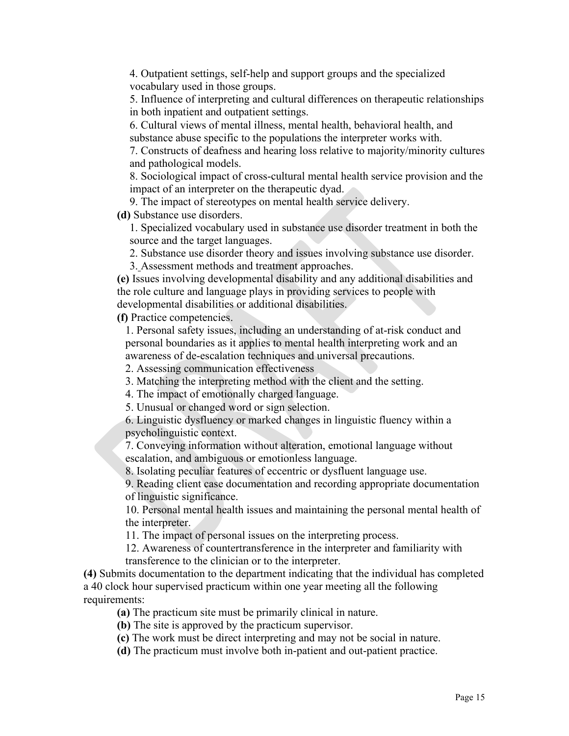4. Outpatient settings, self-help and support groups and the specialized vocabulary used in those groups.

5. Influence of interpreting and cultural differences on therapeutic relationships in both inpatient and outpatient settings.

6. Cultural views of mental illness, mental health, behavioral health, and substance abuse specific to the populations the interpreter works with.

7. Constructs of deafness and hearing loss relative to majority/minority cultures and pathological models.

8. Sociological impact of cross-cultural mental health service provision and the impact of an interpreter on the therapeutic dyad.

9. The impact of stereotypes on mental health service delivery.

**(d)** Substance use disorders.

1. Specialized vocabulary used in substance use disorder treatment in both the source and the target languages.

2. Substance use disorder theory and issues involving substance use disorder.

3. Assessment methods and treatment approaches.

**(e)** Issues involving developmental disability and any additional disabilities and the role culture and language plays in providing services to people with developmental disabilities or additional disabilities.

**(f)** Practice competencies.

1. Personal safety issues, including an understanding of at-risk conduct and personal boundaries as it applies to mental health interpreting work and an awareness of de-escalation techniques and universal precautions.

2. Assessing communication effectiveness

3. Matching the interpreting method with the client and the setting.

4. The impact of emotionally charged language.

5. Unusual or changed word or sign selection.

6. Linguistic dysfluency or marked changes in linguistic fluency within a psycholinguistic context.

7. Conveying information without alteration, emotional language without escalation, and ambiguous or emotionless language.

8. Isolating peculiar features of eccentric or dysfluent language use.

9. Reading client case documentation and recording appropriate documentation of linguistic significance.

10. Personal mental health issues and maintaining the personal mental health of the interpreter.

11. The impact of personal issues on the interpreting process.

12. Awareness of countertransference in the interpreter and familiarity with transference to the clinician or to the interpreter.

**(4)** Submits documentation to the department indicating that the individual has completed a 40 clock hour supervised practicum within one year meeting all the following requirements:

**(a)** The practicum site must be primarily clinical in nature.

**(b)** The site is approved by the practicum supervisor.

**(c)** The work must be direct interpreting and may not be social in nature.

**(d)** The practicum must involve both in-patient and out-patient practice.